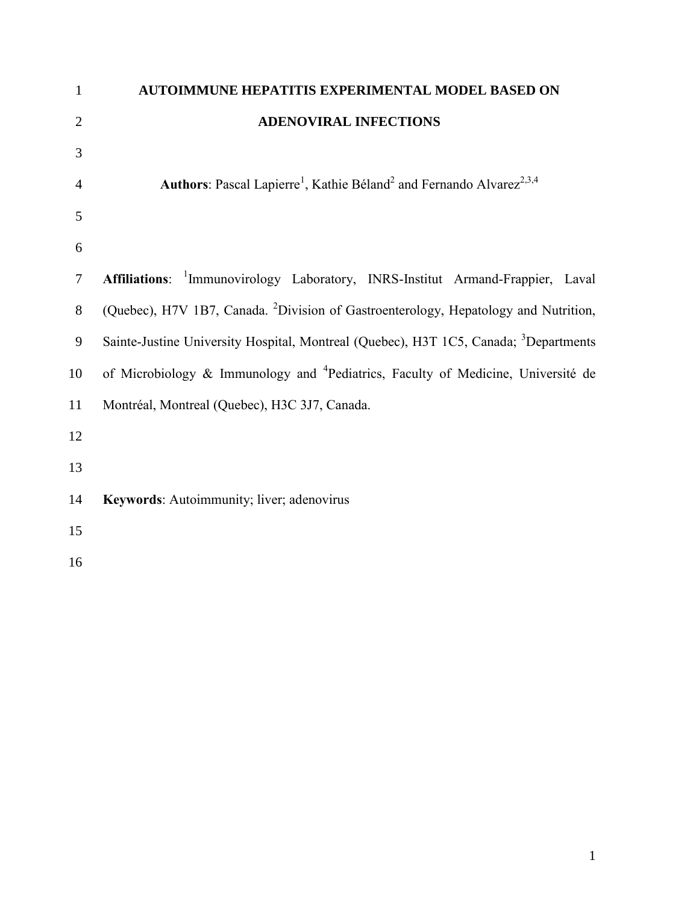| $\mathbf{1}$   | AUTOIMMUNE HEPATITIS EXPERIMENTAL MODEL BASED ON                                                         |
|----------------|----------------------------------------------------------------------------------------------------------|
| $\overline{2}$ | <b>ADENOVIRAL INFECTIONS</b>                                                                             |
| 3              |                                                                                                          |
| 4              | Authors: Pascal Lapierre <sup>1</sup> , Kathie Béland <sup>2</sup> and Fernando Alvarez <sup>2,3,4</sup> |
| 5              |                                                                                                          |
| 6              |                                                                                                          |
| $\tau$         | Affiliations: <sup>1</sup> Immunovirology Laboratory, INRS-Institut Armand-Frappier, Laval               |
| $8\,$          | (Quebec), H7V 1B7, Canada. <sup>2</sup> Division of Gastroenterology, Hepatology and Nutrition,          |
| 9              | Sainte-Justine University Hospital, Montreal (Quebec), H3T 1C5, Canada; <sup>3</sup> Departments         |
| 10             | of Microbiology & Immunology and <sup>4</sup> Pediatrics, Faculty of Medicine, Université de             |
| 11             | Montréal, Montreal (Quebec), H3C 3J7, Canada.                                                            |
| 12             |                                                                                                          |
| 13             |                                                                                                          |
| 14             | Keywords: Autoimmunity; liver; adenovirus                                                                |
| 15             |                                                                                                          |
| 16             |                                                                                                          |
|                |                                                                                                          |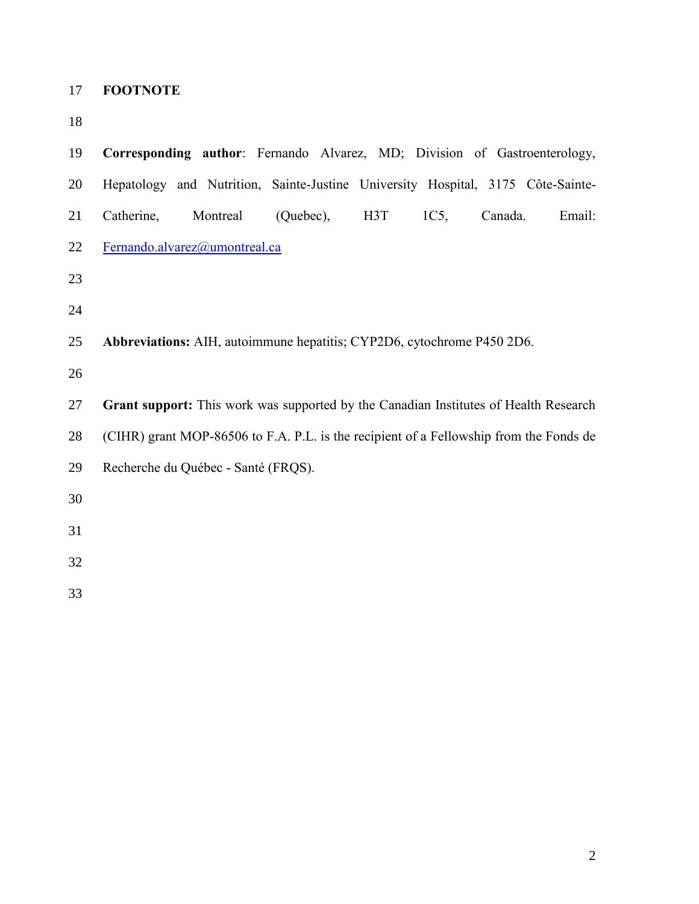- **FOOTNOTE**
- 

| 19 | Corresponding author: Fernando Alvarez, MD; Division of Gastroenterology,              |
|----|----------------------------------------------------------------------------------------|
| 20 | Hepatology and Nutrition, Sainte-Justine University Hospital, 3175 Côte-Sainte-        |
| 21 | Catherine,<br>Montreal<br>(Quebec),<br>H <sub>3</sub> T<br>1C5,<br>Canada.<br>Email:   |
| 22 | Fernando.alvarez@umontreal.ca                                                          |
| 23 |                                                                                        |
| 24 |                                                                                        |
| 25 | Abbreviations: AIH, autoimmune hepatitis; CYP2D6, cytochrome P450 2D6.                 |
| 26 |                                                                                        |
| 27 | Grant support: This work was supported by the Canadian Institutes of Health Research   |
| 28 | (CIHR) grant MOP-86506 to F.A. P.L. is the recipient of a Fellowship from the Fonds de |
| 29 | Recherche du Québec - Santé (FRQS).                                                    |
| 30 |                                                                                        |
| 31 |                                                                                        |
| 32 |                                                                                        |
| 33 |                                                                                        |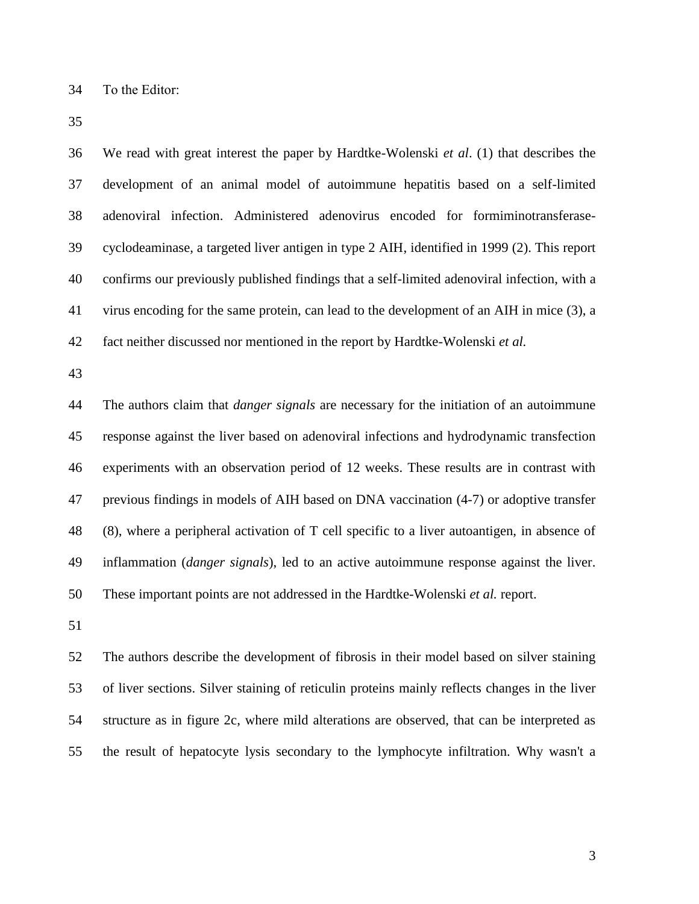To the Editor:

 We read with great interest the paper by Hardtke-Wolenski *et al*. [\(1\)](#page-4-0) that describes the development of an animal model of autoimmune hepatitis based on a self-limited adenoviral infection. Administered adenovirus encoded for formiminotransferase- cyclodeaminase, a targeted liver antigen in type 2 AIH, identified in 1999 [\(2\)](#page-4-1). This report confirms our previously published findings that a self-limited adenoviral infection, with a virus encoding for the same protein, can lead to the development of an AIH in mice [\(3\)](#page-4-2), a fact neither discussed nor mentioned in the report by Hardtke-Wolenski *et al.* 

 The authors claim that *danger signals* are necessary for the initiation of an autoimmune response against the liver based on adenoviral infections and hydrodynamic transfection experiments with an observation period of 12 weeks. These results are in contrast with previous findings in models of AIH based on DNA vaccination [\(4-7\)](#page-4-3) or adoptive transfer [\(8\)](#page-5-0), where a peripheral activation of T cell specific to a liver autoantigen, in absence of inflammation (*danger signals*), led to an active autoimmune response against the liver. These important points are not addressed in the Hardtke-Wolenski *et al.* report.

 The authors describe the development of fibrosis in their model based on silver staining of liver sections. Silver staining of reticulin proteins mainly reflects changes in the liver structure as in figure 2c, where mild alterations are observed, that can be interpreted as the result of hepatocyte lysis secondary to the lymphocyte infiltration. Why wasn't a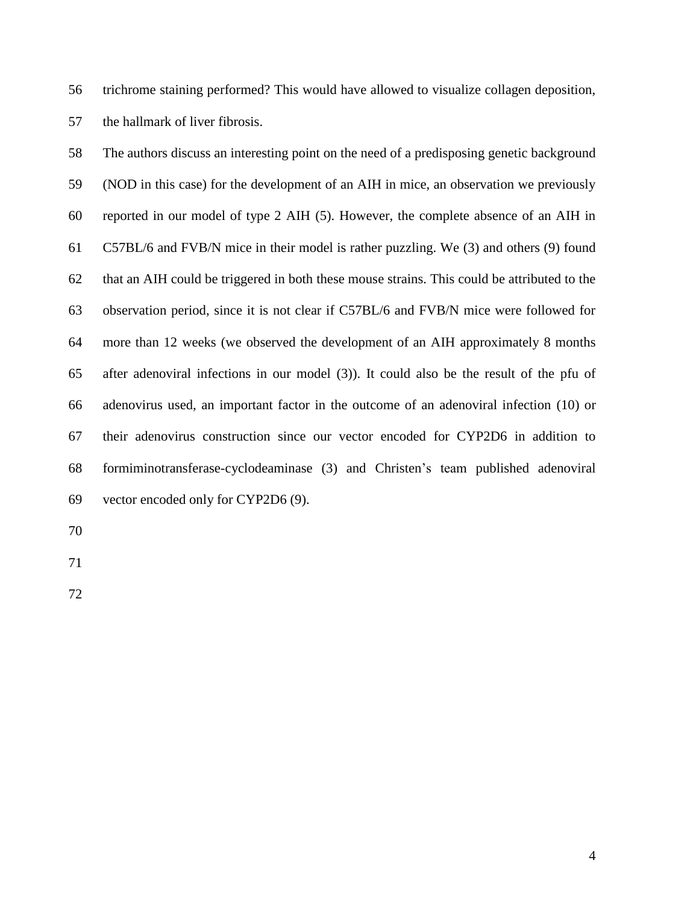trichrome staining performed? This would have allowed to visualize collagen deposition, the hallmark of liver fibrosis.

 The authors discuss an interesting point on the need of a predisposing genetic background (NOD in this case) for the development of an AIH in mice, an observation we previously reported in our model of type 2 AIH [\(5\)](#page-4-4). However, the complete absence of an AIH in C57BL/6 and FVB/N mice in their model is rather puzzling. We [\(3\)](#page-4-2) and others [\(9\)](#page-5-1) found that an AIH could be triggered in both these mouse strains. This could be attributed to the observation period, since it is not clear if C57BL/6 and FVB/N mice were followed for more than 12 weeks (we observed the development of an AIH approximately 8 months after adenoviral infections in our model [\(3\)](#page-4-2)). It could also be the result of the pfu of adenovirus used, an important factor in the outcome of an adenoviral infection [\(10\)](#page-5-2) or their adenovirus construction since our vector encoded for CYP2D6 in addition to formiminotransferase-cyclodeaminase [\(3\)](#page-4-2) and Christen's team published adenoviral vector encoded only for CYP2D6 [\(9\)](#page-5-1).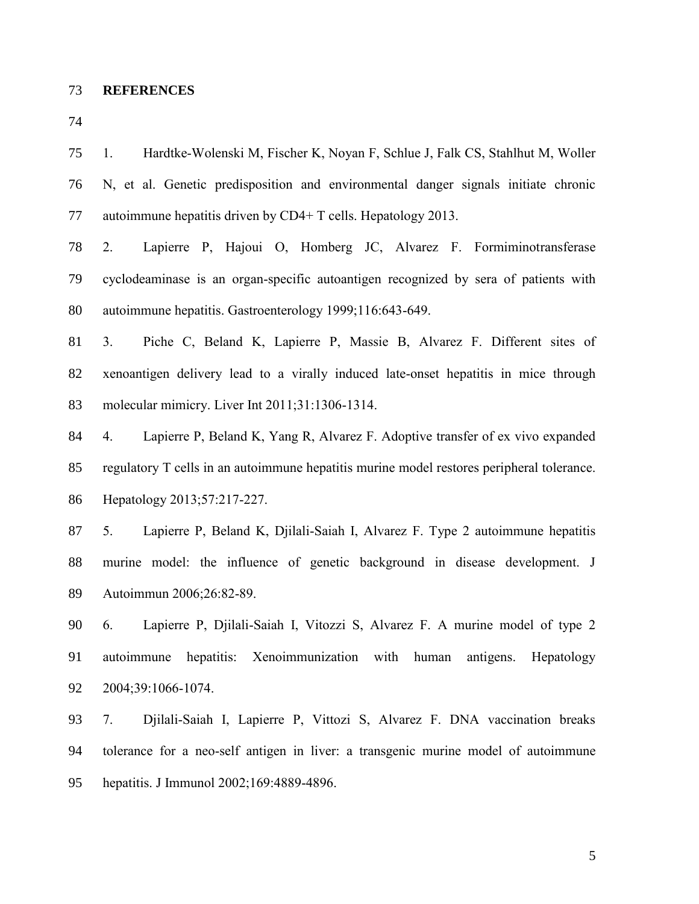**REFERENCES**

<span id="page-4-0"></span> 1. Hardtke-Wolenski M, Fischer K, Noyan F, Schlue J, Falk CS, Stahlhut M, Woller N, et al. Genetic predisposition and environmental danger signals initiate chronic autoimmune hepatitis driven by CD4+ T cells. Hepatology 2013.

<span id="page-4-1"></span> 2. Lapierre P, Hajoui O, Homberg JC, Alvarez F. Formiminotransferase cyclodeaminase is an organ-specific autoantigen recognized by sera of patients with autoimmune hepatitis. Gastroenterology 1999;116:643-649.

<span id="page-4-2"></span> 3. Piche C, Beland K, Lapierre P, Massie B, Alvarez F. Different sites of xenoantigen delivery lead to a virally induced late-onset hepatitis in mice through molecular mimicry. Liver Int 2011;31:1306-1314.

<span id="page-4-3"></span> 4. Lapierre P, Beland K, Yang R, Alvarez F. Adoptive transfer of ex vivo expanded regulatory T cells in an autoimmune hepatitis murine model restores peripheral tolerance. Hepatology 2013;57:217-227.

<span id="page-4-4"></span> 5. Lapierre P, Beland K, Djilali-Saiah I, Alvarez F. Type 2 autoimmune hepatitis murine model: the influence of genetic background in disease development. J Autoimmun 2006;26:82-89.

 6. Lapierre P, Djilali-Saiah I, Vitozzi S, Alvarez F. A murine model of type 2 autoimmune hepatitis: Xenoimmunization with human antigens. Hepatology 2004;39:1066-1074.

 7. Djilali-Saiah I, Lapierre P, Vittozi S, Alvarez F. DNA vaccination breaks tolerance for a neo-self antigen in liver: a transgenic murine model of autoimmune hepatitis. J Immunol 2002;169:4889-4896.